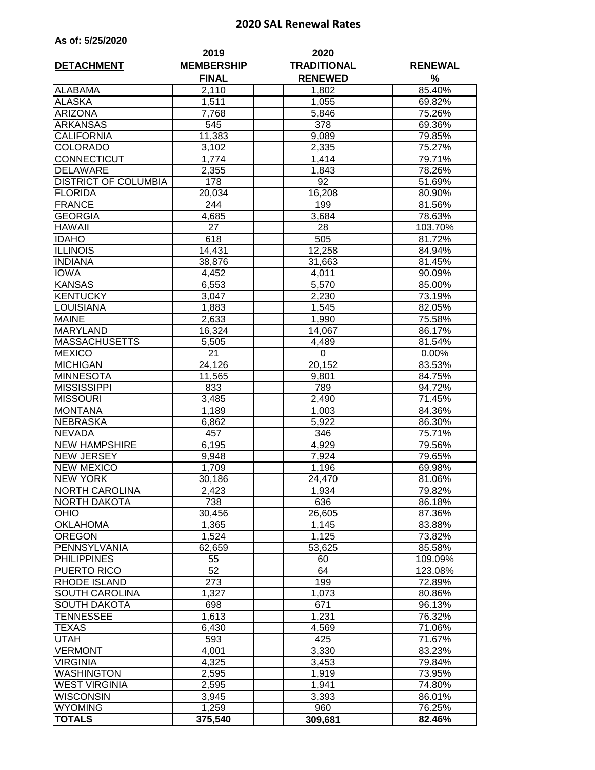## **2020 SAL Renewal Rates**

| As of: 5/25/2020 |  |  |  |  |
|------------------|--|--|--|--|
|------------------|--|--|--|--|

|                                  | 2019                              | 2020                                 |                     |
|----------------------------------|-----------------------------------|--------------------------------------|---------------------|
| <b>DETACHMENT</b>                | <b>MEMBERSHIP</b><br><b>FINAL</b> | <b>TRADITIONAL</b><br><b>RENEWED</b> | <b>RENEWAL</b><br>% |
| <b>ALABAMA</b>                   | 2,110                             | 1,802                                | 85.40%              |
| <b>ALASKA</b>                    | 1,511                             | 1,055                                | 69.82%              |
| <b>ARIZONA</b>                   | 7,768                             | 5,846                                | 75.26%              |
| <b>ARKANSAS</b>                  | 545                               | 378                                  | 69.36%              |
| <b>CALIFORNIA</b>                | 11,383                            | 9,089                                | 79.85%              |
| <b>COLORADO</b>                  | 3,102                             | 2,335                                | 75.27%              |
| CONNECTICUT                      | 1,774                             | 1,414                                | 79.71%              |
| <b>DELAWARE</b>                  | 2,355                             | 1,843                                | 78.26%              |
| <b>DISTRICT OF COLUMBIA</b>      | 178                               | 92                                   | 51.69%              |
| <b>FLORIDA</b>                   | 20,034                            | 16,208                               | 80.90%              |
| <b>FRANCE</b>                    | 244                               | 199                                  | 81.56%              |
| <b>GEORGIA</b>                   | 4,685                             | 3,684                                | 78.63%              |
| <b>HAWAII</b>                    | 27                                | 28                                   | 103.70%             |
| <b>IDAHO</b>                     | 618                               | 505                                  | 81.72%              |
| <b>ILLINOIS</b>                  | 14,431                            | 12.258                               | 84.94%              |
| <b>INDIANA</b>                   | 38,876                            | 31,663                               | 81.45%              |
| <b>IOWA</b>                      |                                   |                                      | 90.09%              |
| <b>KANSAS</b>                    | 4,452                             | 4,011<br>$\overline{5,570}$          |                     |
|                                  | 6,553                             |                                      | 85.00%              |
| <b>KENTUCKY</b>                  | 3,047                             | 2,230                                | 73.19%              |
| <b>LOUISIANA</b><br><b>MAINE</b> | 1,883                             | 1,545                                | 82.05%              |
|                                  | 2,633                             | 1,990                                | 75.58%              |
| <b>MARYLAND</b>                  | 16,324                            | 14,067                               | 86.17%              |
| <b>MASSACHUSETTS</b>             | 5,505                             | 4,489                                | 81.54%              |
| <b>MEXICO</b>                    | $\overline{2}1$                   | 0                                    | 0.00%               |
| <b>MICHIGAN</b>                  | 24,126                            | 20,152                               | 83.53%              |
| <b>MINNESOTA</b>                 | 11,565                            | 9,801                                | 84.75%              |
| <b>MISSISSIPPI</b>               | 833                               | 789                                  | 94.72%              |
| <b>MISSOURI</b>                  | 3,485                             | $\overline{2,}490$                   | 71.45%              |
| <b>MONTANA</b>                   | 1,189                             | 1,003                                | 84.36%              |
| <b>NEBRASKA</b>                  | 6,862                             | 5,922                                | 86.30%              |
| <b>NEVADA</b>                    | 457                               | 346                                  | 75.71%              |
| <b>NEW HAMPSHIRE</b>             | 6,195                             | 4,929                                | 79.56%              |
| <b>NEW JERSEY</b>                | 9,948                             | 7,924                                | 79.65%              |
| <b>NEW MEXICO</b>                | 1,709                             | 1,196                                | 69.98%              |
| <b>NEW YORK</b>                  | 30,186                            | 24,470                               | 81.06%              |
| <b>NORTH CAROLINA</b>            | 2,423                             | 1,934                                | 79.82%              |
| NORTH DAKOTA                     | 738                               | 636                                  | 86.18%              |
| <b>OHIO</b>                      | 30,456                            | 26,605                               | 87.36%              |
| <b>OKLAHOMA</b>                  | 1,365                             | 1,145                                | 83.88%              |
| <b>OREGON</b>                    | 1,524                             | 1,125                                | 73.82%              |
| PENNSYLVANIA                     | 62,659                            | 53,625                               | 85.58%              |
| <b>PHILIPPINES</b>               | 55                                | 60                                   | 109.09%             |
| PUERTO RICO                      | 52                                | 64                                   | 123.08%             |
| <b>RHODE ISLAND</b>              | 273                               | 199                                  | 72.89%              |
| SOUTH CAROLINA                   | 1,327                             | 1,073                                | 80.86%              |
| <b>SOUTH DAKOTA</b>              | 698                               | 671                                  | 96.13%              |
| TENNESSEE                        | 1,613                             | 1,231                                | 76.32%              |
| TEXAS                            | 6,430                             | 4,569                                | 71.06%              |
| UTAH                             | 593                               | 425                                  | 71.67%              |
| <b>VERMONT</b>                   | 4,001                             | 3,330                                | 83.23%              |
| <b>VIRGINIA</b>                  | 4,325                             | 3,453                                | 79.84%              |
| <b>WASHINGTON</b>                | 2,595                             | 1,919                                | 73.95%              |
| <b>WEST VIRGINIA</b>             | 2,595                             | 1,941                                | 74.80%              |
| <b>WISCONSIN</b>                 | 3,945                             | 3,393                                | 86.01%              |
| <b>WYOMING</b>                   | 1,259                             | 960                                  | 76.25%              |
| <b>TOTALS</b>                    | 375,540                           | 309,681                              | 82.46%              |